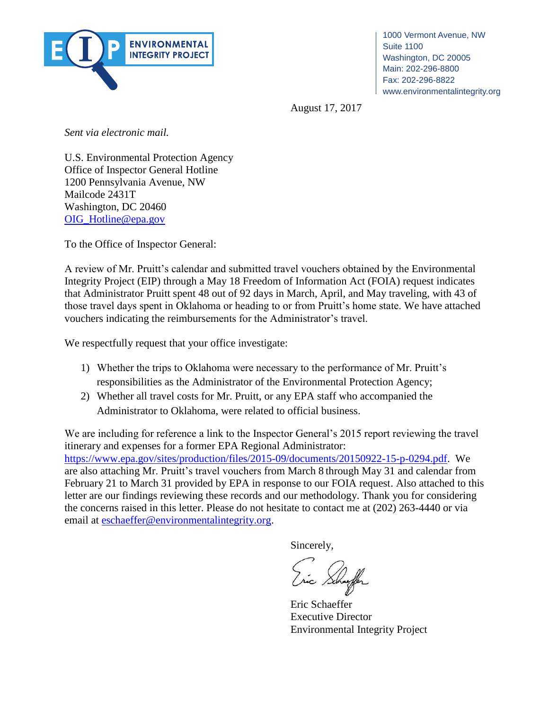

1000 Vermont Avenue, NW Washington, DC 20005 Fax: 202-296-8822 Suite 1100 Main: 202-296-8800 www.environmentalintegrity.org

Main: 202-296-8800 August 17, 2017

Sent via electronic mail.

 $\alpha$ environmentalintegrity. U.S. Environmental Protection Agency Office of Inspector General Hotline 1200 Pennsylvania Avenue, NW Mailcode 2431T Washington, DC 20460 [OIG\\_Hotline@epa.gov](mailto:OIG_Hotline@epa.gov)

To the Office of Inspector General:

 Integrity Project (EIP) through a May 18 Freedom of Information Act (FOIA) request indicates A review of Mr. Pruitt's calendar and submitted travel vouchers obtained by the Environmental that Administrator Pruitt spent 48 out of 92 days in March, April, and May traveling, with 43 of those travel days spent in Oklahoma or heading to or from Pruitt's home state. We have attached vouchers indicating the reimbursements for the Administrator's travel.

We respectfully request that your office investigate:

- 1) Whether the trips to Oklahoma were necessary to the performance of Mr. Pruitt's responsibilities as the Administrator of the Environmental Protection Agency;
- 2) Whether all travel costs for Mr. Pruitt, or any EPA staff who accompanied the Administrator to Oklahoma, were related to official business.

We are including for reference a link to the Inspector General's 2015 report reviewing the travel itinerary and expenses for a former EPA Regional Administrator: [https://www.epa.gov/sites/production/files/2015-09/documents/20150922-15-p-0294.pdf.](https://www.epa.gov/sites/production/files/2015-09/documents/20150922-15-p-0294.pdf) We are also attaching Mr. Pruitt's travel vouchers from March 8 through May 31 and calendar from February 21 to March 31 provided by EPA in response to our FOIA request. Also attached to this letter are our findings reviewing these records and our methodology. Thank you for considering the concerns raised in this letter. Please do not hesitate to contact me at (202) 263-4440 or via email at [eschaeffer@environmentalintegrity.org.](mailto:eschaeffer@environmentalintegrity.org)

Sincerely,

Eric Schaeffer Executive Director Environmental Integrity Project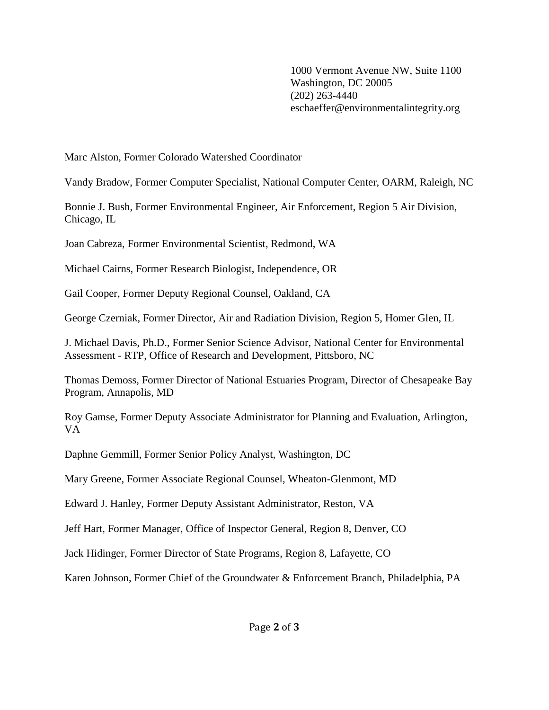1000 Vermont Avenue NW, Suite 1100 Washington, DC 20005 (202) 263-4440 eschaeffer@environmentalintegrity.org

Marc Alston, Former Colorado Watershed Coordinator

Vandy Bradow, Former Computer Specialist, National Computer Center, OARM, Raleigh, NC

Bonnie J. Bush, Former Environmental Engineer, Air Enforcement, Region 5 Air Division, Chicago, IL

Joan Cabreza, Former Environmental Scientist, Redmond, WA

Michael Cairns, Former Research Biologist, Independence, OR

Gail Cooper, Former Deputy Regional Counsel, Oakland, CA

George Czerniak, Former Director, Air and Radiation Division, Region 5, Homer Glen, IL

J. Michael Davis, Ph.D., Former Senior Science Advisor, National Center for Environmental Assessment - RTP, Office of Research and Development, Pittsboro, NC

Thomas Demoss, Former Director of National Estuaries Program, Director of Chesapeake Bay Program, Annapolis, MD

Roy Gamse, Former Deputy Associate Administrator for Planning and Evaluation, Arlington, VA

Daphne Gemmill, Former Senior Policy Analyst, Washington, DC

Mary Greene, Former Associate Regional Counsel, Wheaton-Glenmont, MD

Edward J. Hanley, Former Deputy Assistant Administrator, Reston, VA

Jeff Hart, Former Manager, Office of Inspector General, Region 8, Denver, CO

Jack Hidinger, Former Director of State Programs, Region 8, Lafayette, CO

Karen Johnson, Former Chief of the Groundwater & Enforcement Branch, Philadelphia, PA